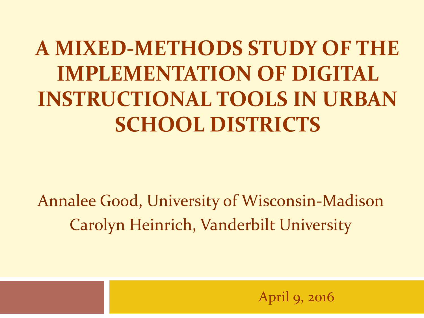**A MIXED-METHODS STUDY OF THE IMPLEMENTATION OF DIGITAL INSTRUCTIONAL TOOLS IN URBAN SCHOOL DISTRICTS**

Annalee Good, University of Wisconsin-Madison Carolyn Heinrich, Vanderbilt University

April 9, 2016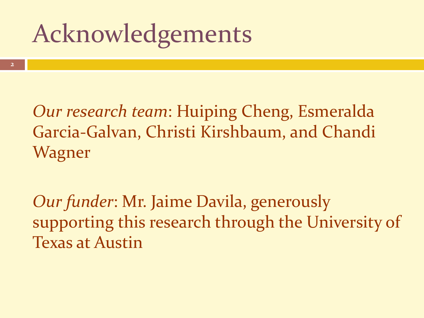### Acknowledgements

*Our research team*: Huiping Cheng, Esmeralda Garcia-Galvan, Christi Kirshbaum, and Chandi Wagner

*Our funder*: Mr. Jaime Davila, generously supporting this research through the University of Texas at Austin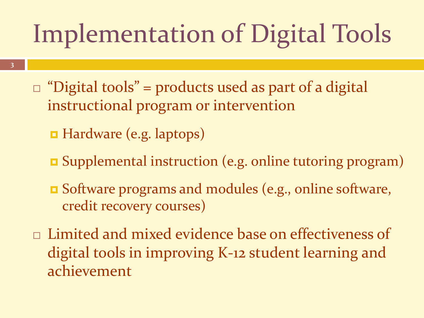# Implementation of Digital Tools

- $\Box$  "Digital tools" = products used as part of a digital instructional program or intervention
	- Hardware (e.g. laptops)
	- Supplemental instruction (e.g. online tutoring program)
	- **B** Software programs and modules (e.g., online software, credit recovery courses)
- □ Limited and mixed evidence base on effectiveness of digital tools in improving K-12 student learning and achievement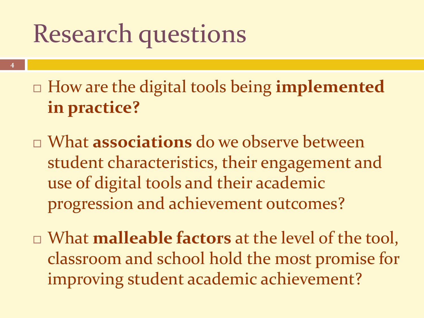### Research questions

- How are the digital tools being **implemented in practice?**
- What **associations** do we observe between student characteristics, their engagement and use of digital tools and their academic progression and achievement outcomes?
- What **malleable factors** at the level of the tool, classroom and school hold the most promise for improving student academic achievement?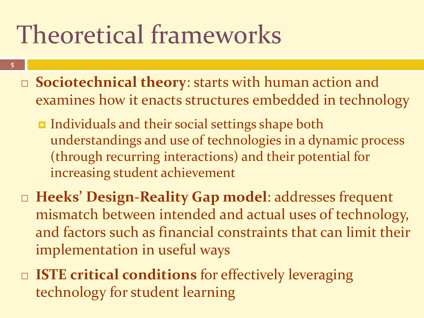## Theoretical frameworks

- **5**
- **Sociotechnical theory**: starts with human action and examines how it enacts structures embedded in technology
	- Individuals and their social settings shape both understandings and use of technologies in a dynamic process (through recurring interactions) and their potential for increasing student achievement
- **Heeks' Design-Reality Gap model**: addresses frequent mismatch between intended and actual uses of technology, and factors such as financial constraints that can limit their implementation in useful ways
- □ **ISTE critical conditions** for effectively leveraging technology for student learning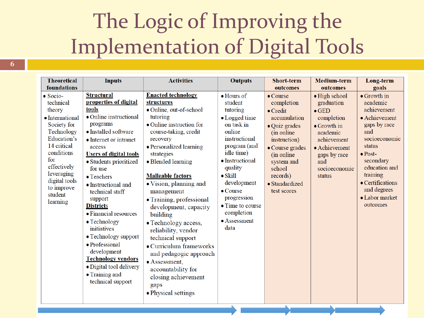#### The Logic of Improving the Implementation of Digital Tools

| <b>Theoretical</b>                                                                                                                                                                                                            | <b>Inputs</b>                                                                                                                                                                                                                                                                                                                                                                                                                                                                                                                      | <b>Activities</b>                                                                                                                                                                                                                                                                                                                                                                                                                                                                                                                                                                 | <b>Outputs</b>                                                                                                                                                                                                                                                                                 | <b>Short-term</b>                                                                                                                                                                                                         | <b>Medium-term</b>                                                                                                                                                                      | Long-term                                                                                                                                                                                                                                       |
|-------------------------------------------------------------------------------------------------------------------------------------------------------------------------------------------------------------------------------|------------------------------------------------------------------------------------------------------------------------------------------------------------------------------------------------------------------------------------------------------------------------------------------------------------------------------------------------------------------------------------------------------------------------------------------------------------------------------------------------------------------------------------|-----------------------------------------------------------------------------------------------------------------------------------------------------------------------------------------------------------------------------------------------------------------------------------------------------------------------------------------------------------------------------------------------------------------------------------------------------------------------------------------------------------------------------------------------------------------------------------|------------------------------------------------------------------------------------------------------------------------------------------------------------------------------------------------------------------------------------------------------------------------------------------------|---------------------------------------------------------------------------------------------------------------------------------------------------------------------------------------------------------------------------|-----------------------------------------------------------------------------------------------------------------------------------------------------------------------------------------|-------------------------------------------------------------------------------------------------------------------------------------------------------------------------------------------------------------------------------------------------|
| foundations                                                                                                                                                                                                                   |                                                                                                                                                                                                                                                                                                                                                                                                                                                                                                                                    |                                                                                                                                                                                                                                                                                                                                                                                                                                                                                                                                                                                   |                                                                                                                                                                                                                                                                                                | outcomes                                                                                                                                                                                                                  | outcomes                                                                                                                                                                                | goals                                                                                                                                                                                                                                           |
| $\bullet$ Socio-<br>technical<br>theory<br>• International<br>Society for<br>Technology<br>Education's<br>14 critical<br>conditions<br>for<br>effectively<br>leveraging<br>digital tools<br>to improve<br>student<br>learning | <b>Structural</b><br>properties of digital<br>tools<br>• Online instructional<br>programs<br>• Installed software<br>• Internet or intranet<br>access<br><b>Users of digital tools</b><br>· Students prioritized<br>for use<br>• Teachers<br>• Instructional and<br>technical staff<br>support<br><b>Districts</b><br>• Financial resources<br>• Technology<br>initiatives<br>• Technology support<br>• Professional<br>development<br><b>Technology vendors</b><br>· Digital tool delivery<br>• Training and<br>technical support | <b>Enacted technology</b><br>structures<br>• Online, out-of-school<br>tutoring<br>• Online instruction for<br>course-taking, credit<br>recovery<br>• Personalized learning<br>strategies<br>• Blended learning<br><b>Malleable factors</b><br>$\bullet$ Vision, planning and<br>management<br>• Training, professional<br>development, capacity<br>building<br>• Technology access,<br>reliability, vendor<br>technical support<br>• Curriculum frameworks<br>and pedagogic approach<br>• Assessment,<br>accountability for<br>closing achievement<br>gaps<br>• Physical settings | $\bullet$ Hours of<br>student<br>tutoring<br>• Logged time<br>on task in<br>online<br>instructional<br>program (and<br>idle time)<br>• Instructional<br>quality<br>$\bullet$ Skill<br>development<br>$\bullet$ Course<br>progression<br>• Time to course<br>completion<br>• Assessment<br>data | $\bullet$ Course<br>completion<br>$\bullet$ Credit<br>accumulation<br>• Quiz grades<br>(in online)<br>instruction)<br>• Course grades<br>(in online)<br>system and<br>school<br>records)<br>· Standardized<br>test scores | $\bullet$ High school<br>graduation<br>$\bullet$ GED<br>completion<br>$\bullet$ Growth in<br>academic<br>achievement<br>• Achievement<br>gaps by race<br>and<br>socioeconomic<br>status | $\bullet$ Growth in<br>academic<br>achievement<br>• Achievement<br>gaps by race<br>and<br>socioeconomic<br>status<br>$\bullet$ Post-<br>secondary<br>education and<br>training<br>• Certifications<br>and degrees<br>• Labor market<br>outcomes |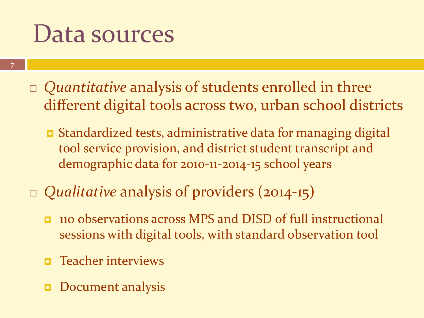#### Data sources

- **7**
- *Quantitative* analysis of students enrolled in three different digital tools across two, urban school districts
	- Standardized tests, administrative data for managing digital tool service provision, and district student transcript and demographic data for 2010-11-2014-15 school years
- *Qualitative* analysis of providers (2014-15)
	- **110 observations across MPS and DISD of full instructional** sessions with digital tools, with standard observation tool
	- $\blacksquare$  Teacher interviews
	- Document analysis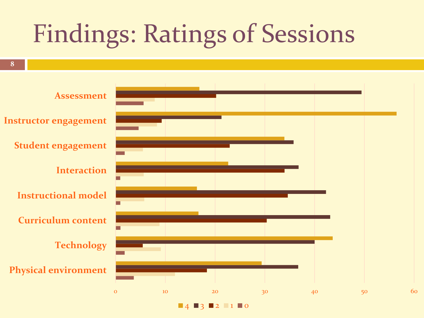## Findings: Ratings of Sessions

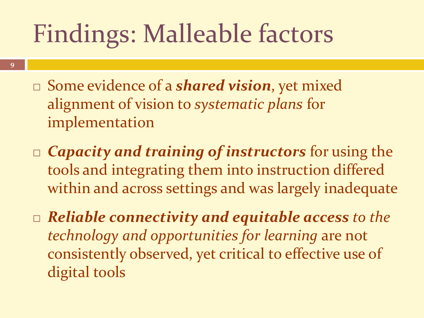## Findings: Malleable factors

- Some evidence of a *shared vision*, yet mixed alignment of vision to *systematic plans* for implementation
- *Capacity and training of instructors* for using the tools and integrating them into instruction differed within and across settings and was largely inadequate
- *Reliable connectivity and equitable access to the technology and opportunities for learning* are not consistently observed, yet critical to effective use of digital tools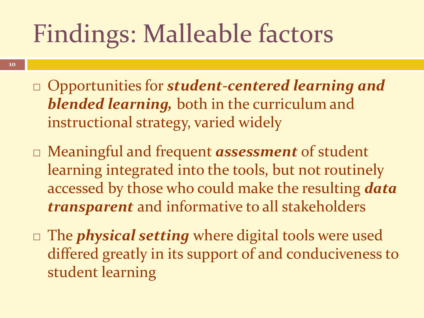## Findings: Malleable factors

- Opportunities for *student-centered learning and blended learning,* both in the curriculum and instructional strategy, varied widely
- Meaningful and frequent *assessment* of student learning integrated into the tools, but not routinely accessed by those who could make the resulting *data transparent* and informative to all stakeholders
- The *physical setting* where digital tools were used differed greatly in its support of and conduciveness to student learning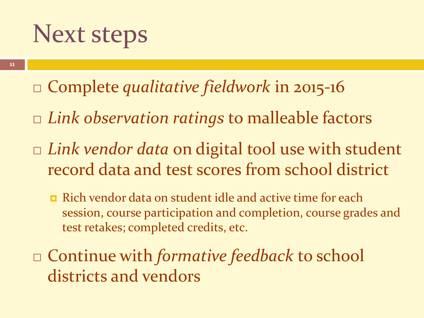### Next steps

- Complete *qualitative fieldwork* in 2015-16
- *Link observation ratings* to malleable factors
- *Link vendor data* on digital tool use with student record data and test scores from school district
	- **E** Rich vendor data on student idle and active time for each session, course participation and completion, course grades and test retakes; completed credits, etc.
- Continue with *formative feedback* to school districts and vendors